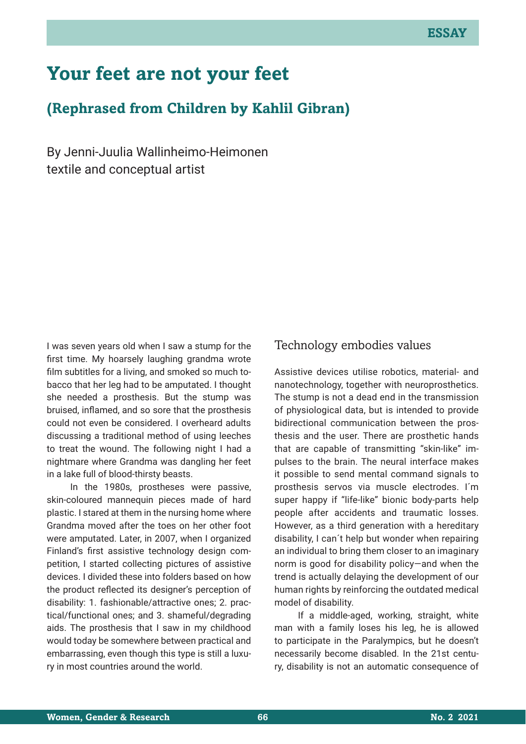# **Your feet are not your feet**

# **(Rephrased from Children by Kahlil Gibran)**

By Jenni-Juulia Wallinheimo-Heimonen textile and conceptual artist

I was seven years old when I saw a stump for the first time. My hoarsely laughing grandma wrote film subtitles for a living, and smoked so much tobacco that her leg had to be amputated. I thought she needed a prosthesis. But the stump was bruised, inflamed, and so sore that the prosthesis could not even be considered. I overheard adults discussing a traditional method of using leeches to treat the wound. The following night I had a nightmare where Grandma was dangling her feet in a lake full of blood-thirsty beasts.

In the 1980s, prostheses were passive, skin-coloured mannequin pieces made of hard plastic. I stared at them in the nursing home where Grandma moved after the toes on her other foot were amputated. Later, in 2007, when I organized Finland's first assistive technology design competition, I started collecting pictures of assistive devices. I divided these into folders based on how the product reflected its designer's perception of disability: 1. fashionable/attractive ones; 2. practical/functional ones; and 3. shameful/degrading aids. The prosthesis that I saw in my childhood would today be somewhere between practical and embarrassing, even though this type is still a luxury in most countries around the world.

### Technology embodies values

Assistive devices utilise robotics, material- and nanotechnology, together with neuroprosthetics. The stump is not a dead end in the transmission of physiological data, but is intended to provide bidirectional communication between the prosthesis and the user. There are prosthetic hands that are capable of transmitting "skin-like" impulses to the brain. The neural interface makes it possible to send mental command signals to prosthesis servos via muscle electrodes. I´m super happy if "life-like" bionic body-parts help people after accidents and traumatic losses. However, as a third generation with a hereditary disability, I can´t help but wonder when repairing an individual to bring them closer to an imaginary norm is good for disability policy—and when the trend is actually delaying the development of our human rights by reinforcing the outdated medical model of disability.

If a middle-aged, working, straight, white man with a family loses his leg, he is allowed to participate in the Paralympics, but he doesn't necessarily become disabled. In the 21st century, disability is not an automatic consequence of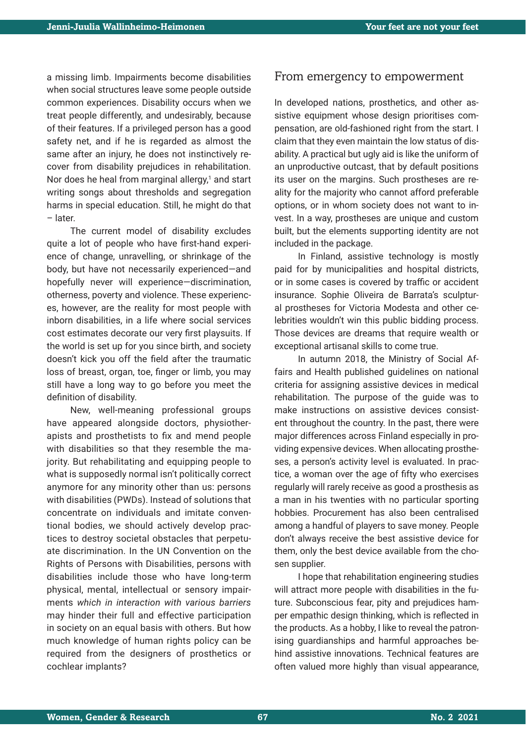a missing limb. Impairments become disabilities when social structures leave some people outside common experiences. Disability occurs when we treat people differently, and undesirably, because of their features. If a privileged person has a good safety net, and if he is regarded as almost the same after an injury, he does not instinctively recover from disability prejudices in rehabilitation. Nor does he heal from marginal allergy,<sup>1</sup> and start writing songs about thresholds and segregation harms in special education. Still, he might do that – later.

The current model of disability excludes quite a lot of people who have first-hand experience of change, unravelling, or shrinkage of the body, but have not necessarily experienced—and hopefully never will experience—discrimination, otherness, poverty and violence. These experiences, however, are the reality for most people with inborn disabilities, in a life where social services cost estimates decorate our very first playsuits. If the world is set up for you since birth, and society doesn't kick you off the field after the traumatic loss of breast, organ, toe, finger or limb, you may still have a long way to go before you meet the definition of disability.

New, well-meaning professional groups have appeared alongside doctors, physiotherapists and prosthetists to fix and mend people with disabilities so that they resemble the majority. But rehabilitating and equipping people to what is supposedly normal isn't politically correct anymore for any minority other than us: persons with disabilities (PWDs). Instead of solutions that concentrate on individuals and imitate conventional bodies, we should actively develop practices to destroy societal obstacles that perpetuate discrimination. In the UN Convention on the Rights of Persons with Disabilities, persons with disabilities include those who have long-term physical, mental, intellectual or sensory impairments *which in interaction with various barriers* may hinder their full and effective participation in society on an equal basis with others. But how much knowledge of human rights policy can be required from the designers of prosthetics or cochlear implants?

#### From emergency to empowerment

In developed nations, prosthetics, and other assistive equipment whose design prioritises compensation, are old-fashioned right from the start. I claim that they even maintain the low status of disability. A practical but ugly aid is like the uniform of an unproductive outcast, that by default positions its user on the margins. Such prostheses are reality for the majority who cannot afford preferable options, or in whom society does not want to invest. In a way, prostheses are unique and custom built, but the elements supporting identity are not included in the package.

In Finland, assistive technology is mostly paid for by municipalities and hospital districts, or in some cases is covered by traffic or accident insurance. Sophie Oliveira de Barrata's sculptural prostheses for Victoria Modesta and other celebrities wouldn't win this public bidding process. Those devices are dreams that require wealth or exceptional artisanal skills to come true.

In autumn 2018, the Ministry of Social Affairs and Health published guidelines on national criteria for assigning assistive devices in medical rehabilitation. The purpose of the guide was to make instructions on assistive devices consistent throughout the country. In the past, there were major differences across Finland especially in providing expensive devices. When allocating prostheses, a person's activity level is evaluated. In practice, a woman over the age of fifty who exercises regularly will rarely receive as good a prosthesis as a man in his twenties with no particular sporting hobbies. Procurement has also been centralised among a handful of players to save money. People don't always receive the best assistive device for them, only the best device available from the chosen supplier.

I hope that rehabilitation engineering studies will attract more people with disabilities in the future. Subconscious fear, pity and prejudices hamper empathic design thinking, which is reflected in the products. As a hobby, I like to reveal the patronising guardianships and harmful approaches behind assistive innovations. Technical features are often valued more highly than visual appearance,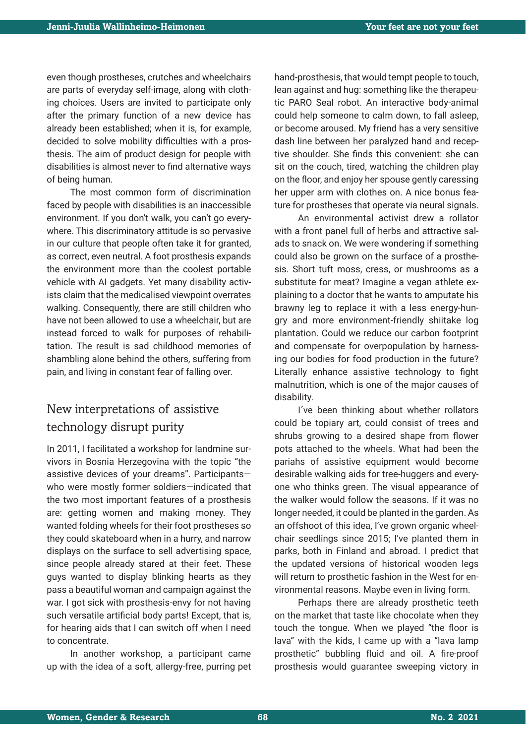even though prostheses, crutches and wheelchairs are parts of everyday self-image, along with clothing choices. Users are invited to participate only after the primary function of a new device has already been established; when it is, for example, decided to solve mobility difficulties with a prosthesis. The aim of product design for people with disabilities is almost never to find alternative ways of being human.

The most common form of discrimination faced by people with disabilities is an inaccessible environment. If you don't walk, you can't go everywhere. This discriminatory attitude is so pervasive in our culture that people often take it for granted, as correct, even neutral. A foot prosthesis expands the environment more than the coolest portable vehicle with AI gadgets. Yet many disability activists claim that the medicalised viewpoint overrates walking. Consequently, there are still children who have not been allowed to use a wheelchair, but are instead forced to walk for purposes of rehabilitation. The result is sad childhood memories of shambling alone behind the others, suffering from pain, and living in constant fear of falling over.

### New interpretations of assistive technology disrupt purity

In 2011, I facilitated a workshop for landmine survivors in Bosnia Herzegovina with the topic "the assistive devices of your dreams". Participants who were mostly former soldiers—indicated that the two most important features of a prosthesis are: getting women and making money. They wanted folding wheels for their foot prostheses so they could skateboard when in a hurry, and narrow displays on the surface to sell advertising space, since people already stared at their feet. These guys wanted to display blinking hearts as they pass a beautiful woman and campaign against the war. I got sick with prosthesis-envy for not having such versatile artificial body parts! Except, that is, for hearing aids that I can switch off when I need to concentrate.

In another workshop, a participant came up with the idea of a soft, allergy-free, purring pet hand-prosthesis, that would tempt people to touch, lean against and hug: something like the therapeutic PARO Seal robot. An interactive body-animal could help someone to calm down, to fall asleep, or become aroused. My friend has a very sensitive dash line between her paralyzed hand and receptive shoulder. She finds this convenient: she can sit on the couch, tired, watching the children play on the floor, and enjoy her spouse gently caressing her upper arm with clothes on. A nice bonus feature for prostheses that operate via neural signals.

An environmental activist drew a rollator with a front panel full of herbs and attractive salads to snack on. We were wondering if something could also be grown on the surface of a prosthesis. Short tuft moss, cress, or mushrooms as a substitute for meat? Imagine a vegan athlete explaining to a doctor that he wants to amputate his brawny leg to replace it with a less energy-hungry and more environment-friendly shiitake log plantation. Could we reduce our carbon footprint and compensate for overpopulation by harnessing our bodies for food production in the future? Literally enhance assistive technology to fight malnutrition, which is one of the major causes of disability.

I´ve been thinking about whether rollators could be topiary art, could consist of trees and shrubs growing to a desired shape from flower pots attached to the wheels. What had been the pariahs of assistive equipment would become desirable walking aids for tree-huggers and everyone who thinks green. The visual appearance of the walker would follow the seasons. If it was no longer needed, it could be planted in the garden. As an offshoot of this idea, I've grown organic wheelchair seedlings since 2015; I've planted them in parks, both in Finland and abroad. I predict that the updated versions of historical wooden legs will return to prosthetic fashion in the West for environmental reasons. Maybe even in living form.

Perhaps there are already prosthetic teeth on the market that taste like chocolate when they touch the tongue. When we played "the floor is lava" with the kids, I came up with a "lava lamp prosthetic" bubbling fluid and oil. A fire-proof prosthesis would guarantee sweeping victory in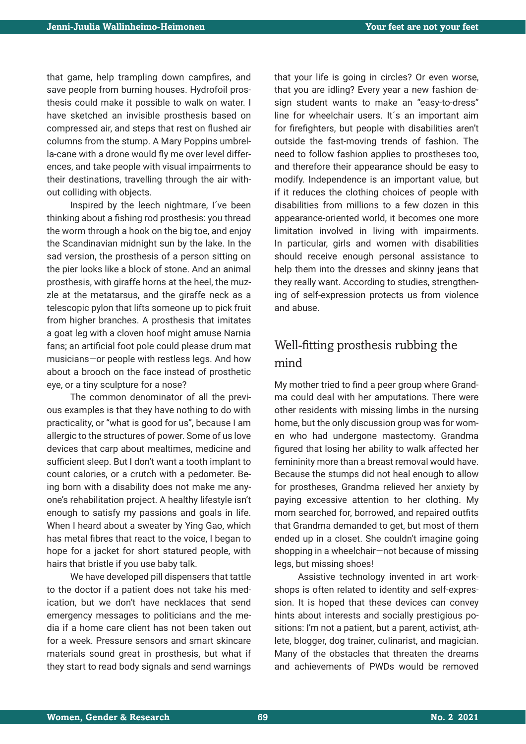that game, help trampling down campfires, and save people from burning houses. Hydrofoil prosthesis could make it possible to walk on water. I have sketched an invisible prosthesis based on compressed air, and steps that rest on flushed air columns from the stump. A Mary Poppins umbrella-cane with a drone would fly me over level differences, and take people with visual impairments to their destinations, travelling through the air without colliding with objects.

Inspired by the leech nightmare, I´ve been thinking about a fishing rod prosthesis: you thread the worm through a hook on the big toe, and enjoy the Scandinavian midnight sun by the lake. In the sad version, the prosthesis of a person sitting on the pier looks like a block of stone. And an animal prosthesis, with giraffe horns at the heel, the muzzle at the metatarsus, and the giraffe neck as a telescopic pylon that lifts someone up to pick fruit from higher branches. A prosthesis that imitates a goat leg with a cloven hoof might amuse Narnia fans; an artificial foot pole could please drum mat musicians—or people with restless legs. And how about a brooch on the face instead of prosthetic eye, or a tiny sculpture for a nose?

The common denominator of all the previous examples is that they have nothing to do with practicality, or "what is good for us", because I am allergic to the structures of power. Some of us love devices that carp about mealtimes, medicine and sufficient sleep. But I don't want a tooth implant to count calories, or a crutch with a pedometer. Being born with a disability does not make me anyone's rehabilitation project. A healthy lifestyle isn't enough to satisfy my passions and goals in life. When I heard about a sweater by Ying Gao, which has metal fibres that react to the voice. I began to hope for a jacket for short statured people, with hairs that bristle if you use baby talk.

We have developed pill dispensers that tattle to the doctor if a patient does not take his medication, but we don't have necklaces that send emergency messages to politicians and the media if a home care client has not been taken out for a week. Pressure sensors and smart skincare materials sound great in prosthesis, but what if they start to read body signals and send warnings

that your life is going in circles? Or even worse, that you are idling? Every year a new fashion design student wants to make an "easy-to-dress" line for wheelchair users. It´s an important aim for firefighters, but people with disabilities aren't outside the fast-moving trends of fashion. The need to follow fashion applies to prostheses too, and therefore their appearance should be easy to modify. Independence is an important value, but if it reduces the clothing choices of people with disabilities from millions to a few dozen in this appearance-oriented world, it becomes one more limitation involved in living with impairments. In particular, girls and women with disabilities should receive enough personal assistance to help them into the dresses and skinny jeans that they really want. According to studies, strengthening of self-expression protects us from violence and abuse.

## Well-fitting prosthesis rubbing the mind

My mother tried to find a peer group where Grandma could deal with her amputations. There were other residents with missing limbs in the nursing home, but the only discussion group was for women who had undergone mastectomy. Grandma figured that losing her ability to walk affected her femininity more than a breast removal would have. Because the stumps did not heal enough to allow for prostheses, Grandma relieved her anxiety by paying excessive attention to her clothing. My mom searched for, borrowed, and repaired outfits that Grandma demanded to get, but most of them ended up in a closet. She couldn't imagine going shopping in a wheelchair—not because of missing legs, but missing shoes!

Assistive technology invented in art workshops is often related to identity and self-expression. It is hoped that these devices can convey hints about interests and socially prestigious positions: I'm not a patient, but a parent, activist, athlete, blogger, dog trainer, culinarist, and magician. Many of the obstacles that threaten the dreams and achievements of PWDs would be removed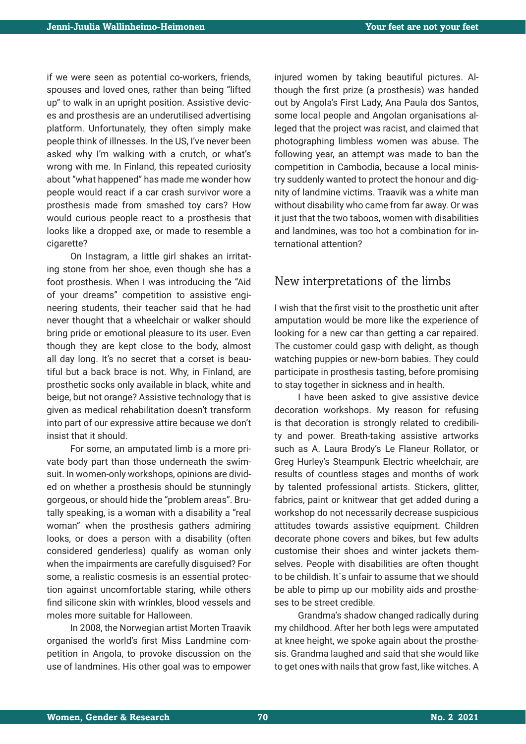if we were seen as potential co-workers, friends, spouses and loved ones, rather than being "lifted up" to walk in an upright position. Assistive devices and prosthesis are an underutilised advertising platform. Unfortunately, they often simply make people think of illnesses. In the US, I've never been asked why I'm walking with a crutch, or what's wrong with me. In Finland, this repeated curiosity about "what happened" has made me wonder how people would react if a car crash survivor wore a prosthesis made from smashed toy cars? How would curious people react to a prosthesis that looks like a dropped axe, or made to resemble a cigarette?

On Instagram, a little girl shakes an irritating stone from her shoe, even though she has a foot prosthesis. When I was introducing the "Aid of your dreams" competition to assistive engineering students, their teacher said that he had never thought that a wheelchair or walker should bring pride or emotional pleasure to its user. Even though they are kept close to the body, almost all day long. It's no secret that a corset is beautiful but a back brace is not. Why, in Finland, are prosthetic socks only available in black, white and beige, but not orange? Assistive technology that is given as medical rehabilitation doesn't transform into part of our expressive attire because we don't insist that it should.

For some, an amputated limb is a more private body part than those underneath the swimsuit. In women-only workshops, opinions are divided on whether a prosthesis should be stunningly gorgeous, or should hide the "problem areas". Brutally speaking, is a woman with a disability a "real woman" when the prosthesis gathers admiring looks, or does a person with a disability (often considered genderless) qualify as woman only when the impairments are carefully disguised? For some, a realistic cosmesis is an essential protection against uncomfortable staring, while others find silicone skin with wrinkles, blood vessels and moles more suitable for Halloween.

In 2008, the Norwegian artist Morten Traavik organised the world's first Miss Landmine competition in Angola, to provoke discussion on the use of landmines. His other goal was to empower

injured women by taking beautiful pictures. Although the first prize (a prosthesis) was handed out by Angola's First Lady, Ana Paula dos Santos, some local people and Angolan organisations alleged that the project was racist, and claimed that photographing limbless women was abuse. The following year, an attempt was made to ban the competition in Cambodia, because a local ministry suddenly wanted to protect the honour and dignity of landmine victims. Traavik was a white man without disability who came from far away. Or was it just that the two taboos, women with disabilities and landmines, was too hot a combination for international attention?

#### New interpretations of the limbs

I wish that the first visit to the prosthetic unit after amputation would be more like the experience of looking for a new car than getting a car repaired. The customer could gasp with delight, as though watching puppies or new-born babies. They could participate in prosthesis tasting, before promising to stay together in sickness and in health.

I have been asked to give assistive device decoration workshops. My reason for refusing is that decoration is strongly related to credibility and power. Breath-taking assistive artworks such as A. Laura Brody's Le Flaneur Rollator, or Greg Hurley's Steampunk Electric wheelchair, are results of countless stages and months of work by talented professional artists. Stickers, glitter, fabrics, paint or knitwear that get added during a workshop do not necessarily decrease suspicious attitudes towards assistive equipment. Children decorate phone covers and bikes, but few adults customise their shoes and winter jackets themselves. People with disabilities are often thought to be childish. It´s unfair to assume that we should be able to pimp up our mobility aids and prostheses to be street credible.

Grandma's shadow changed radically during my childhood. After her both legs were amputated at knee height, we spoke again about the prosthesis. Grandma laughed and said that she would like to get ones with nails that grow fast, like witches. A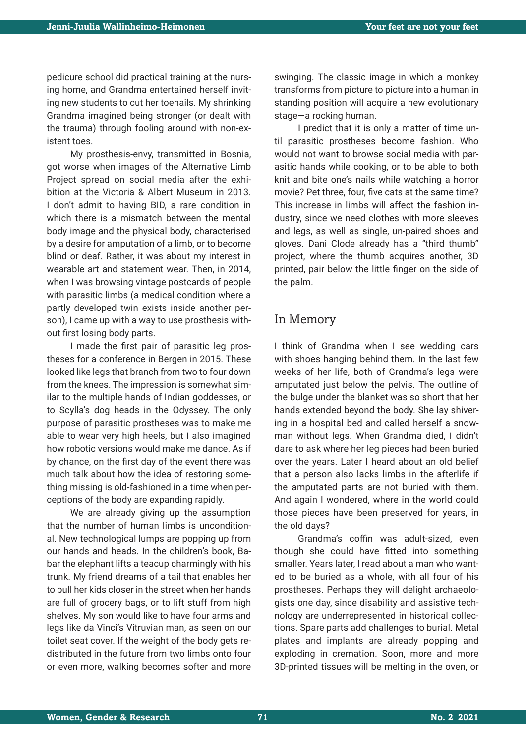pedicure school did practical training at the nursing home, and Grandma entertained herself inviting new students to cut her toenails. My shrinking Grandma imagined being stronger (or dealt with the trauma) through fooling around with non-existent toes.

My prosthesis-envy, transmitted in Bosnia, got worse when images of the Alternative Limb Project spread on social media after the exhibition at the Victoria & Albert Museum in 2013. I don't admit to having BID, a rare condition in which there is a mismatch between the mental body image and the physical body, characterised by a desire for amputation of a limb, or to become blind or deaf. Rather, it was about my interest in wearable art and statement wear. Then, in 2014, when I was browsing vintage postcards of people with parasitic limbs (a medical condition where a partly developed twin exists inside another person), I came up with a way to use prosthesis without first losing body parts.

I made the first pair of parasitic leg prostheses for a conference in Bergen in 2015. These looked like legs that branch from two to four down from the knees. The impression is somewhat similar to the multiple hands of Indian goddesses, or to Scylla's dog heads in the Odyssey. The only purpose of parasitic prostheses was to make me able to wear very high heels, but I also imagined how robotic versions would make me dance. As if by chance, on the first day of the event there was much talk about how the idea of restoring something missing is old-fashioned in a time when perceptions of the body are expanding rapidly.

We are already giving up the assumption that the number of human limbs is unconditional. New technological lumps are popping up from our hands and heads. In the children's book, Babar the elephant lifts a teacup charmingly with his trunk. My friend dreams of a tail that enables her to pull her kids closer in the street when her hands are full of grocery bags, or to lift stuff from high shelves. My son would like to have four arms and legs like da Vinci's Vitruvian man, as seen on our toilet seat cover. If the weight of the body gets redistributed in the future from two limbs onto four or even more, walking becomes softer and more

swinging. The classic image in which a monkey transforms from picture to picture into a human in standing position will acquire a new evolutionary stage—a rocking human.

I predict that it is only a matter of time until parasitic prostheses become fashion. Who would not want to browse social media with parasitic hands while cooking, or to be able to both knit and bite one's nails while watching a horror movie? Pet three, four, five cats at the same time? This increase in limbs will affect the fashion industry, since we need clothes with more sleeves and legs, as well as single, un-paired shoes and gloves. Dani Clode already has a "third thumb" project, where the thumb acquires another, 3D printed, pair below the little finger on the side of the palm.

#### In Memory

I think of Grandma when I see wedding cars with shoes hanging behind them. In the last few weeks of her life, both of Grandma's legs were amputated just below the pelvis. The outline of the bulge under the blanket was so short that her hands extended beyond the body. She lay shivering in a hospital bed and called herself a snowman without legs. When Grandma died, I didn't dare to ask where her leg pieces had been buried over the years. Later I heard about an old belief that a person also lacks limbs in the afterlife if the amputated parts are not buried with them. And again I wondered, where in the world could those pieces have been preserved for years, in the old days?

Grandma's coffin was adult-sized, even though she could have fitted into something smaller. Years later, I read about a man who wanted to be buried as a whole, with all four of his prostheses. Perhaps they will delight archaeologists one day, since disability and assistive technology are underrepresented in historical collections. Spare parts add challenges to burial. Metal plates and implants are already popping and exploding in cremation. Soon, more and more 3D-printed tissues will be melting in the oven, or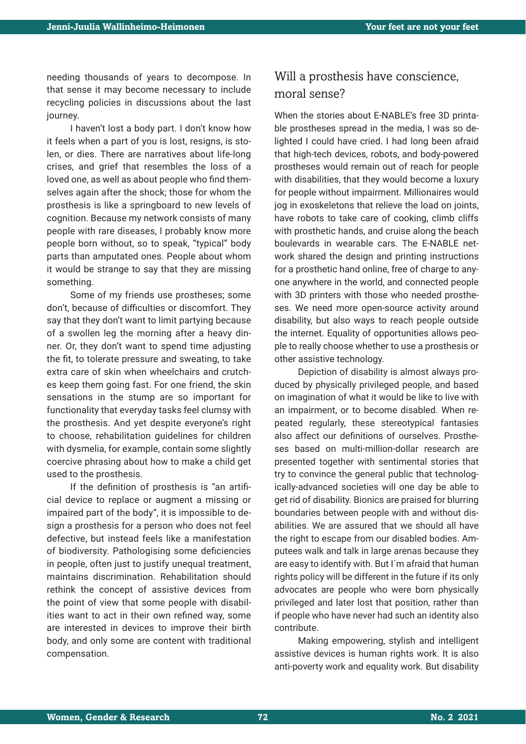needing thousands of years to decompose. In that sense it may become necessary to include recycling policies in discussions about the last journey.

I haven't lost a body part. I don't know how it feels when a part of you is lost, resigns, is stolen, or dies. There are narratives about life-long crises, and grief that resembles the loss of a loved one, as well as about people who find themselves again after the shock; those for whom the prosthesis is like a springboard to new levels of cognition. Because my network consists of many people with rare diseases, I probably know more people born without, so to speak, "typical" body parts than amputated ones. People about whom it would be strange to say that they are missing something.

Some of my friends use prostheses; some don't, because of difficulties or discomfort. They say that they don't want to limit partying because of a swollen leg the morning after a heavy dinner. Or, they don't want to spend time adjusting the fit, to tolerate pressure and sweating, to take extra care of skin when wheelchairs and crutches keep them going fast. For one friend, the skin sensations in the stump are so important for functionality that everyday tasks feel clumsy with the prosthesis. And yet despite everyone's right to choose, rehabilitation guidelines for children with dysmelia, for example, contain some slightly coercive phrasing about how to make a child get used to the prosthesis.

If the definition of prosthesis is "an artificial device to replace or augment a missing or impaired part of the body", it is impossible to design a prosthesis for a person who does not feel defective, but instead feels like a manifestation of biodiversity. Pathologising some deficiencies in people, often just to justify unequal treatment, maintains discrimination. Rehabilitation should rethink the concept of assistive devices from the point of view that some people with disabilities want to act in their own refined way, some are interested in devices to improve their birth body, and only some are content with traditional compensation.

### Will a prosthesis have conscience, moral sense?

When the stories about E-NABLE's free 3D printable prostheses spread in the media, I was so delighted I could have cried. I had long been afraid that high-tech devices, robots, and body-powered prostheses would remain out of reach for people with disabilities, that they would become a luxury for people without impairment. Millionaires would jog in exoskeletons that relieve the load on joints, have robots to take care of cooking, climb cliffs with prosthetic hands, and cruise along the beach boulevards in wearable cars. The E-NABLE network shared the design and printing instructions for a prosthetic hand online, free of charge to anyone anywhere in the world, and connected people with 3D printers with those who needed prostheses. We need more open-source activity around disability, but also ways to reach people outside the internet. Equality of opportunities allows people to really choose whether to use a prosthesis or other assistive technology.

Depiction of disability is almost always produced by physically privileged people, and based on imagination of what it would be like to live with an impairment, or to become disabled. When repeated regularly, these stereotypical fantasies also affect our definitions of ourselves. Prostheses based on multi-million-dollar research are presented together with sentimental stories that try to convince the general public that technologically-advanced societies will one day be able to get rid of disability. Bionics are praised for blurring boundaries between people with and without disabilities. We are assured that we should all have the right to escape from our disabled bodies. Amputees walk and talk in large arenas because they are easy to identify with. But I´m afraid that human rights policy will be different in the future if its only advocates are people who were born physically privileged and later lost that position, rather than if people who have never had such an identity also contribute.

Making empowering, stylish and intelligent assistive devices is human rights work. It is also anti-poverty work and equality work. But disability